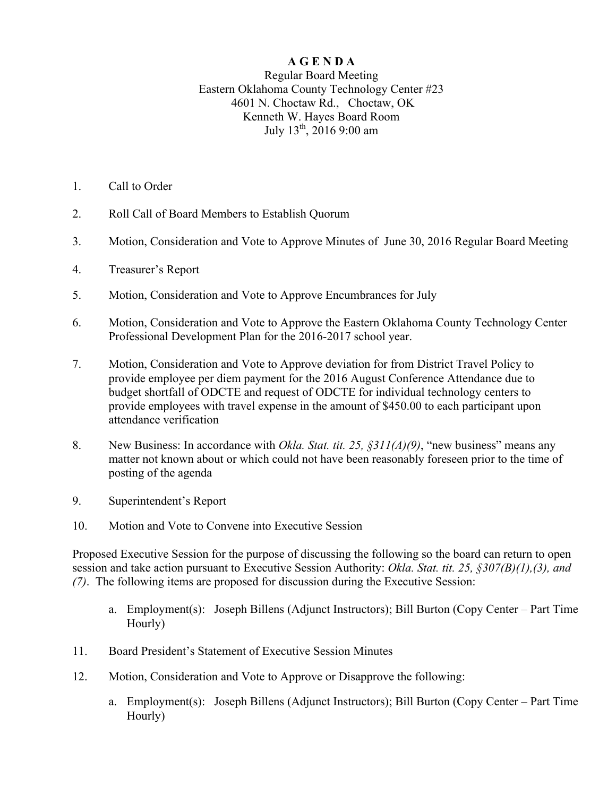## **A G E N D A**

## Regular Board Meeting Eastern Oklahoma County Technology Center #23 4601 N. Choctaw Rd., Choctaw, OK Kenneth W. Hayes Board Room July  $13^{th}$ ,  $20169:00$  am

- 1. Call to Order
- 2. Roll Call of Board Members to Establish Quorum
- 3. Motion, Consideration and Vote to Approve Minutes of June 30, 2016 Regular Board Meeting
- 4. Treasurer's Report
- 5. Motion, Consideration and Vote to Approve Encumbrances for July
- 6. Motion, Consideration and Vote to Approve the Eastern Oklahoma County Technology Center Professional Development Plan for the 2016-2017 school year.
- 7. Motion, Consideration and Vote to Approve deviation for from District Travel Policy to provide employee per diem payment for the 2016 August Conference Attendance due to budget shortfall of ODCTE and request of ODCTE for individual technology centers to provide employees with travel expense in the amount of \$450.00 to each participant upon attendance verification
- 8. New Business: In accordance with *Okla. Stat. tit. 25, §311(A)(9)*, "new business" means any matter not known about or which could not have been reasonably foreseen prior to the time of posting of the agenda
- 9. Superintendent's Report
- 10. Motion and Vote to Convene into Executive Session

Proposed Executive Session for the purpose of discussing the following so the board can return to open session and take action pursuant to Executive Session Authority: *Okla. Stat. tit. 25, §307(B)(1),(3), and (7)*. The following items are proposed for discussion during the Executive Session:

- a. Employment(s): Joseph Billens (Adjunct Instructors); Bill Burton (Copy Center Part Time Hourly)
- 11. Board President's Statement of Executive Session Minutes
- 12. Motion, Consideration and Vote to Approve or Disapprove the following:
	- a. Employment(s): Joseph Billens (Adjunct Instructors); Bill Burton (Copy Center Part Time Hourly)